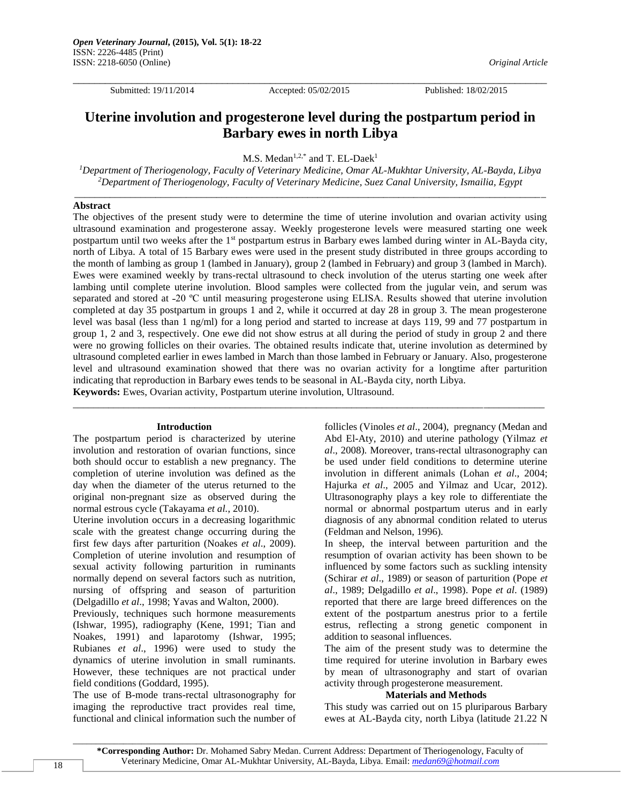Submitted: 19/11/2014 Accepted: 05/02/2015 Published: 18/02/2015

 $\Box$ 

# **Uterine involution and progesterone level during the postpartum period in Barbary ewes in north Libya**

M.S. Medan<sup>1,2,\*</sup> and T. EL-Daek<sup>1</sup>

*<sup>1</sup>Department of Theriogenology, Faculty of Veterinary Medicine, Omar AL-Mukhtar University, AL-Bayda, Libya <sup>2</sup>Department of Theriogenology, Faculty of Veterinary Medicine, Suez Canal University, Ismailia, Egypt* \_\_\_\_\_\_\_\_\_\_\_\_\_\_\_\_\_\_\_\_\_\_\_\_\_\_\_\_\_\_\_\_\_\_\_\_\_\_\_\_\_\_\_\_\_\_\_\_\_\_\_\_\_\_\_\_\_\_\_\_\_\_\_\_\_\_\_\_\_\_\_\_\_\_\_\_\_\_\_\_\_\_\_\_\_\_\_\_\_\_\_\_\_

# **Abstract**

The objectives of the present study were to determine the time of uterine involution and ovarian activity using ultrasound examination and progesterone assay. Weekly progesterone levels were measured starting one week postpartum until two weeks after the 1<sup>st</sup> postpartum estrus in Barbary ewes lambed during winter in AL-Bayda city, north of Libya. A total of 15 Barbary ewes were used in the present study distributed in three groups according to the month of lambing as group 1 (lambed in January), group 2 (lambed in February) and group 3 (lambed in March). Ewes were examined weekly by trans-rectal ultrasound to check involution of the uterus starting one week after lambing until complete uterine involution. Blood samples were collected from the jugular vein, and serum was separated and stored at -20 °C until measuring progesterone using ELISA. Results showed that uterine involution completed at day 35 postpartum in groups 1 and 2, while it occurred at day 28 in group 3. The mean progesterone level was basal (less than 1 ng/ml) for a long period and started to increase at days 119, 99 and 77 postpartum in group 1, 2 and 3, respectively. One ewe did not show estrus at all during the period of study in group 2 and there were no growing follicles on their ovaries. The obtained results indicate that, uterine involution as determined by ultrasound completed earlier in ewes lambed in March than those lambed in February or January. Also, progesterone level and ultrasound examination showed that there was no ovarian activity for a longtime after parturition indicating that reproduction in Barbary ewes tends to be seasonal in AL-Bayda city, north Libya.

\_\_\_\_\_\_\_\_\_\_\_\_\_\_\_\_\_\_\_\_\_\_\_\_\_\_\_\_\_\_\_\_\_\_\_\_\_\_\_\_\_\_\_\_\_\_\_\_\_\_\_\_\_\_\_\_\_\_\_\_\_\_\_\_\_\_\_\_\_\_\_\_\_\_\_\_\_\_\_\_\_\_\_\_\_\_\_\_\_\_\_\_\_

**Keywords:** Ewes, Ovarian activity, Postpartum uterine involution, Ultrasound.

#### **Introduction**

The postpartum period is characterized by uterine involution and restoration of ovarian functions, since both should occur to establish a new pregnancy. The completion of uterine involution was defined as the day when the diameter of the uterus returned to the original non-pregnant size as observed during the normal estrous cycle (Takayama *et al.*, 2010).

Uterine involution occurs in a decreasing logarithmic scale with the greatest change occurring during the first few days after parturition (Noakes *et al*., 2009). Completion of uterine involution and resumption of sexual activity following parturition in ruminants normally depend on several factors such as nutrition, nursing of offspring and season of parturition (Delgadillo *et al*., 1998; Yavas and Walton, 2000).

Previously, techniques such hormone measurements (Ishwar, 1995), radiography (Kene, 1991; Tian and Noakes, 1991) and laparotomy (Ishwar, 1995; Rubianes *et al*., 1996) were used to study the dynamics of uterine involution in small ruminants. However, these techniques are not practical under field conditions (Goddard, 1995).

The use of B-mode trans-rectal ultrasonography for imaging the reproductive tract provides real time, functional and clinical information such the number of follicles (Vinoles *et al*., 2004), pregnancy (Medan and Abd El-Aty, 2010) and uterine pathology (Yilmaz *et al*., 2008). Moreover, trans-rectal ultrasonography can be used under field conditions to determine uterine involution in different animals (Lohan *et al*., 2004; Hajurka *et al*., 2005 and Yilmaz and Ucar, 2012). Ultrasonography plays a key role to differentiate the normal or abnormal postpartum uterus and in early diagnosis of any abnormal condition related to uterus (Feldman and Nelson, 1996).

In sheep, the interval between parturition and the resumption of ovarian activity has been shown to be influenced by some factors such as suckling intensity (Schirar *et al*., 1989) or season of parturition (Pope *et al*., 1989; Delgadillo *et al*., 1998). Pope *et al*. (1989) reported that there are large breed differences on the extent of the postpartum anestrus prior to a fertile estrus, reflecting a strong genetic component in addition to seasonal influences.

The aim of the present study was to determine the time required for uterine involution in Barbary ewes by mean of ultrasonography and start of ovarian activity through progesterone measurement.

#### **Materials and Methods**

This study was carried out on 15 pluriparous Barbary ewes at AL-Bayda city, north Libya (latitude 21.22 N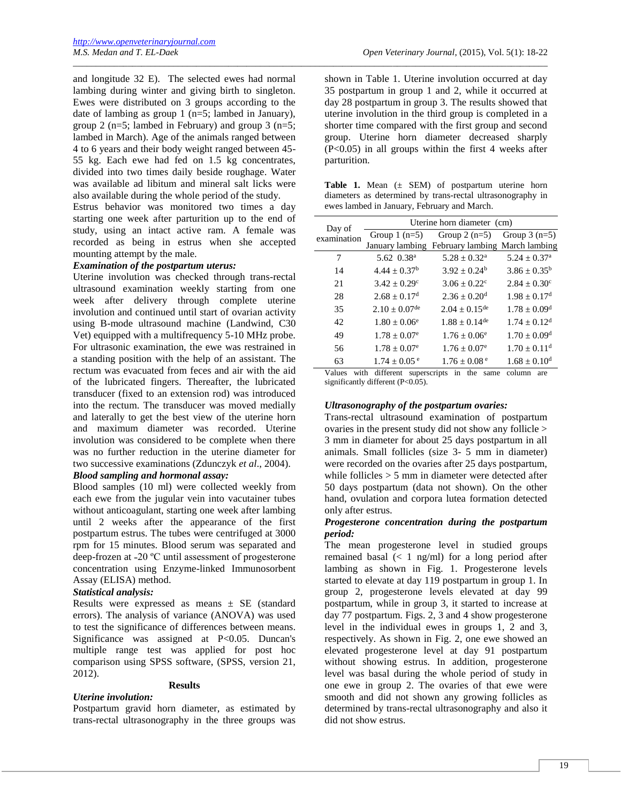and longitude 32 E). The selected ewes had normal lambing during winter and giving birth to singleton. Ewes were distributed on 3 groups according to the date of lambing as group 1 (n=5; lambed in January), group 2 (n=5; lambed in February) and group 3 (n=5; lambed in March). Age of the animals ranged between 4 to 6 years and their body weight ranged between 45- 55 kg. Each ewe had fed on 1.5 kg concentrates, divided into two times daily beside roughage. Water was available ad libitum and mineral salt licks were also available during the whole period of the study.

Estrus behavior was monitored two times a day starting one week after parturition up to the end of study, using an intact active ram. A female was recorded as being in estrus when she accepted mounting attempt by the male.

# *Examination of the postpartum uterus:*

Uterine involution was checked through trans-rectal ultrasound examination weekly starting from one week after delivery through complete uterine involution and continued until start of ovarian activity using B-mode ultrasound machine (Landwind, C30 Vet) equipped with a multifrequency 5-10 MHz probe. For ultrasonic examination, the ewe was restrained in a standing position with the help of an assistant. The rectum was evacuated from feces and air with the aid of the lubricated fingers. Thereafter, the lubricated transducer (fixed to an extension rod) was introduced into the rectum. The transducer was moved medially and laterally to get the best view of the uterine horn and maximum diameter was recorded. Uterine involution was considered to be complete when there was no further reduction in the uterine diameter for two successive examinations (Zdunczyk *et al*., 2004).

# *Blood sampling and hormonal assay:*

Blood samples (10 ml) were collected weekly from each ewe from the jugular vein into vacutainer tubes without anticoagulant, starting one week after lambing until 2 weeks after the appearance of the first postpartum estrus. The tubes were centrifuged at 3000 rpm for 15 minutes. Blood serum was separated and deep-frozen at -20 °C until assessment of progesterone concentration using Enzyme-linked Immunosorbent Assay (ELISA) method.

## *Statistical analysis:*

Results were expressed as means  $\pm$  SE (standard errors). The analysis of variance (ANOVA) was used to test the significance of differences between means. Significance was assigned at P<0.05. Duncan's multiple range test was applied for post hoc comparison using SPSS software, (SPSS, version 21, 2012).

# **Results**

# *Uterine involution:*

Postpartum gravid horn diameter, as estimated by trans-rectal ultrasonography in the three groups was

shown in Table 1. Uterine involution occurred at day 35 postpartum in group 1 and 2, while it occurred at day 28 postpartum in group 3. The results showed that uterine involution in the third group is completed in a shorter time compared with the first group and second group. Uterine horn diameter decreased sharply  $(P<0.05)$  in all groups within the first 4 weeks after parturition.

\_\_\_\_\_\_\_\_\_\_\_\_\_\_\_\_\_\_\_\_\_\_\_\_\_\_\_\_\_\_\_\_\_\_\_\_\_\_\_\_\_\_\_\_\_\_\_\_\_\_\_\_\_\_\_\_\_\_\_\_\_\_\_\_\_\_\_\_\_\_\_\_\_\_\_\_\_\_\_\_\_\_\_\_\_\_\_\_\_\_\_\_\_\_\_\_\_\_\_\_\_\_\_\_

Table 1. Mean ( $\pm$  SEM) of postpartum uterine horn diameters as determined by trans-rectal ultrasonography in ewes lambed in January, February and March.

| Day of<br>examination | Uterine horn diameter (cm)   |                                                |                              |  |
|-----------------------|------------------------------|------------------------------------------------|------------------------------|--|
|                       | Group $1$ (n=5)              | Group $2(n=5)$                                 | Group $3$ (n=5)              |  |
|                       |                              | January lambing February lambing March lambing |                              |  |
| 7                     | 5.62 0.38 <sup>a</sup>       | $5.28 \pm 0.32^{\rm a}$                        | $5.24 \pm 0.37$ <sup>a</sup> |  |
| 14                    | $4.44 \pm 0.37^{\rm b}$      | $3.92 + 0.24^b$                                | $3.86 \pm 0.35^{\rm b}$      |  |
| 21                    | $3.42 \pm 0.29$ <sup>c</sup> | $3.06 \pm 0.22$ <sup>c</sup>                   | $2.84 \pm 0.30^{\circ}$      |  |
| 28                    | $2.68 \pm 0.17$ <sup>d</sup> | $2.36 \pm 0.20$ <sup>d</sup>                   | $1.98 + 0.17d$               |  |
| 35                    | $2.10 + 0.07$ <sup>de</sup>  | $2.04 + 0.15$ <sup>de</sup>                    | $1.78 + 0.09d$               |  |
| 42                    | $1.80 + 0.06^e$              | $1.88 + 0.14$ <sup>de</sup>                    | $1.74 + 0.12d$               |  |
| 49                    | $1.78 \pm 0.07^e$            | $1.76 \pm 0.06^e$                              | $1.70 \pm 0.09$ <sup>d</sup> |  |
| 56                    | $1.78 \pm 0.07^e$            | $1.76 \pm 0.07$ <sup>e</sup>                   | $1.70 + 0.11d$               |  |
| 63                    | $1.74 + 0.05$ <sup>e</sup>   | $1.76 \pm 0.08$ <sup>e</sup>                   | $1.68 + 0.10d$               |  |

Values with different superscripts in the same column are significantly different (P<0.05).

## *Ultrasonography of the postpartum ovaries:*

Trans-rectal ultrasound examination of postpartum ovaries in the present study did not show any follicle > 3 mm in diameter for about 25 days postpartum in all animals. Small follicles (size 3- 5 mm in diameter) were recorded on the ovaries after 25 days postpartum, while follicles > 5 mm in diameter were detected after 50 days postpartum (data not shown). On the other hand, ovulation and corpora lutea formation detected only after estrus.

# *Progesterone concentration during the postpartum period:*

The mean progesterone level in studied groups remained basal (< 1 ng/ml) for a long period after lambing as shown in Fig. 1. Progesterone levels started to elevate at day 119 postpartum in group 1. In group 2, progesterone levels elevated at day 99 postpartum, while in group 3, it started to increase at day 77 postpartum. Figs. 2, 3 and 4 show progesterone level in the individual ewes in groups 1, 2 and 3, respectively. As shown in Fig. 2, one ewe showed an elevated progesterone level at day 91 postpartum without showing estrus. In addition, progesterone level was basal during the whole period of study in one ewe in group 2. The ovaries of that ewe were smooth and did not shown any growing follicles as determined by trans-rectal ultrasonography and also it did not show estrus.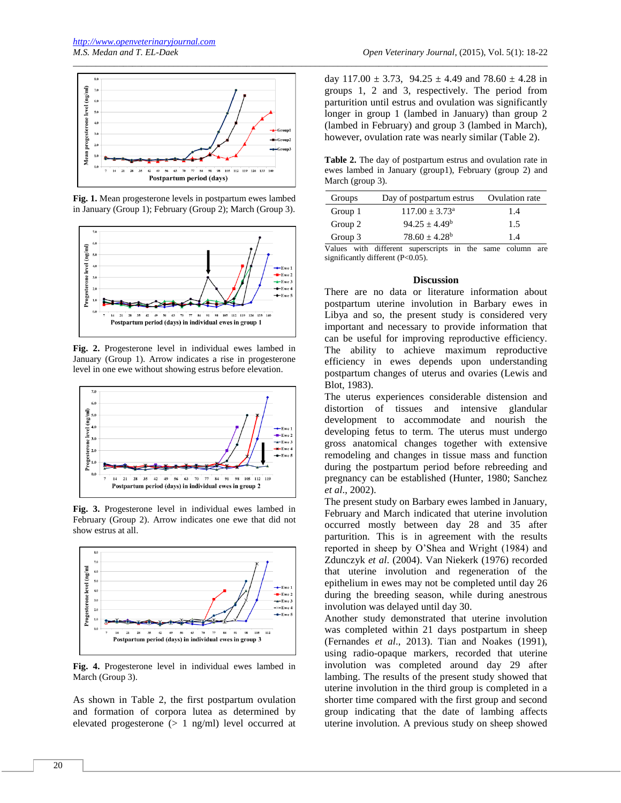

**Fig. 1.** Mean progesterone levels in postpartum ewes lambed in January (Group 1); February (Group 2); March (Group 3).



**Fig. 2.** Progesterone level in individual ewes lambed in January (Group 1). Arrow indicates a rise in progesterone level in one ewe without showing estrus before elevation.



**Fig. 3.** Progesterone level in individual ewes lambed in February (Group 2). Arrow indicates one ewe that did not show estrus at all.



**Fig. 4.** Progesterone level in individual ewes lambed in March (Group 3).

As shown in Table 2, the first postpartum ovulation and formation of corpora lutea as determined by elevated progesterone  $(> 1$  ng/ml) level occurred at

day  $117.00 \pm 3.73$ ,  $94.25 \pm 4.49$  and  $78.60 \pm 4.28$  in groups 1, 2 and 3, respectively. The period from parturition until estrus and ovulation was significantly longer in group 1 (lambed in January) than group 2 (lambed in February) and group 3 (lambed in March), however, ovulation rate was nearly similar (Table 2).

**Table 2.** The day of postpartum estrus and ovulation rate in ewes lambed in January (group1), February (group 2) and March (group 3).

| Groups  | Day of postpartum estrus                       | Ovulation rate       |
|---------|------------------------------------------------|----------------------|
| Group 1 | $117.00 \pm 3.73^{\text{a}}$                   | 1.4                  |
| Group 2 | $94.25 + 4.49^b$                               | 1.5                  |
| Group 3 | $78.60 \pm 4.28^b$                             | 1.4                  |
|         | Voluse with different experience<br>المطه متفا | como octumn<br>0.480 |

Values with different superscripts in the same column are significantly different (P<0.05).

#### **Discussion**

There are no data or literature information about postpartum uterine involution in Barbary ewes in Libya and so, the present study is considered very important and necessary to provide information that can be useful for improving reproductive efficiency. The ability to achieve maximum reproductive efficiency in ewes depends upon understanding postpartum changes of uterus and ovaries (Lewis and Blot, 1983).

The uterus experiences considerable distension and distortion of tissues and intensive glandular development to accommodate and nourish the developing fetus to term. The uterus must undergo gross anatomical changes together with extensive remodeling and changes in tissue mass and function during the postpartum period before rebreeding and pregnancy can be established (Hunter, 1980; Sanchez *et al*., 2002).

The present study on Barbary ewes lambed in January, February and March indicated that uterine involution occurred mostly between day 28 and 35 after parturition. This is in agreement with the results reported in sheep by O'Shea and Wright (1984) and Zdunczyk *et al*. (2004). Van Niekerk (1976) recorded that uterine involution and regeneration of the epithelium in ewes may not be completed until day 26 during the breeding season, while during anestrous involution was delayed until day 30.

Another study demonstrated that uterine involution was completed within 21 days postpartum in sheep (Fernandes *et al*., 2013). Tian and Noakes (1991), using radio-opaque markers, recorded that uterine involution was completed around day 29 after lambing. The results of the present study showed that uterine involution in the third group is completed in a shorter time compared with the first group and second group indicating that the date of lambing affects uterine involution. A previous study on sheep showed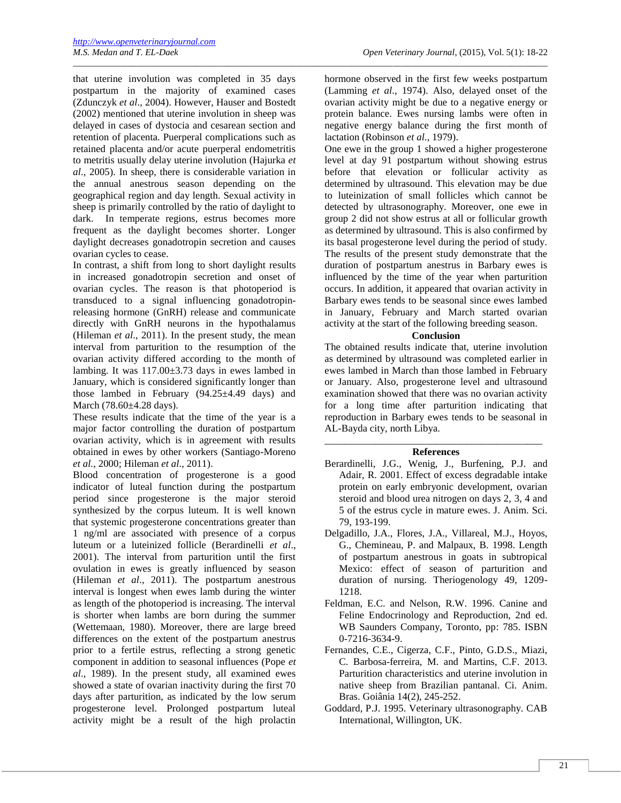that uterine involution was completed in 35 days postpartum in the majority of examined cases (Zdunczyk *et al*., 2004). However, Hauser and Bostedt (2002) mentioned that uterine involution in sheep was delayed in cases of dystocia and cesarean section and retention of placenta. Puerperal complications such as retained placenta and/or acute puerperal endometritis to metritis usually delay uterine involution (Hajurka *et al*., 2005). In sheep, there is considerable variation in the annual anestrous season depending on the geographical region and day length. Sexual activity in sheep is primarily controlled by the ratio of daylight to dark. In temperate regions, estrus becomes more frequent as the daylight becomes shorter. Longer daylight decreases gonadotropin secretion and causes ovarian cycles to cease.

In contrast, a shift from long to short daylight results in increased gonadotropin secretion and onset of ovarian cycles. The reason is that photoperiod is transduced to a signal influencing gonadotropinreleasing hormone (GnRH) release and communicate directly with GnRH neurons in the hypothalamus (Hileman *et al*., 2011). In the present study, the mean interval from parturition to the resumption of the ovarian activity differed according to the month of lambing. It was  $117.00 \pm 3.73$  days in ewes lambed in January, which is considered significantly longer than those lambed in February  $(94.25 \pm 4.49$  days) and March (78.60±4.28 days).

These results indicate that the time of the year is a major factor controlling the duration of postpartum ovarian activity, which is in agreement with results obtained in ewes by other workers (Santiago-Moreno *et al.*, 2000; Hileman *et al*., 2011).

Blood concentration of progesterone is a good indicator of luteal function during the postpartum period since progesterone is the major steroid synthesized by the corpus luteum. It is well known that systemic progesterone concentrations greater than 1 ng/ml are associated with presence of a corpus luteum or a luteinized follicle (Berardinelli *et al*., 2001). The interval from parturition until the first ovulation in ewes is greatly influenced by season (Hileman *et al*., 2011). The postpartum anestrous interval is longest when ewes lamb during the winter as length of the photoperiod is increasing. The interval is shorter when lambs are born during the summer (Wettemaan, 1980). Moreover, there are large breed differences on the extent of the postpartum anestrus prior to a fertile estrus, reflecting a strong genetic component in addition to seasonal influences (Pope *et al*., 1989). In the present study, all examined ewes showed a state of ovarian inactivity during the first 70 days after parturition, as indicated by the low serum progesterone level. Prolonged postpartum luteal activity might be a result of the high prolactin

hormone observed in the first few weeks postpartum (Lamming *et al*., 1974). Also, delayed onset of the ovarian activity might be due to a negative energy or protein balance. Ewes nursing lambs were often in negative energy balance during the first month of lactation (Robinson *et al*., 1979).

\_\_\_\_\_\_\_\_\_\_\_\_\_\_\_\_\_\_\_\_\_\_\_\_\_\_\_\_\_\_\_\_\_\_\_\_\_\_\_\_\_\_\_\_\_\_\_\_\_\_\_\_\_\_\_\_\_\_\_\_\_\_\_\_\_\_\_\_\_\_\_\_\_\_\_\_\_\_\_\_\_\_\_\_\_\_\_\_\_\_\_\_\_\_\_\_\_\_\_\_\_\_\_\_

One ewe in the group 1 showed a higher progesterone level at day 91 postpartum without showing estrus before that elevation or follicular activity as determined by ultrasound. This elevation may be due to luteinization of small follicles which cannot be detected by ultrasonography. Moreover, one ewe in group 2 did not show estrus at all or follicular growth as determined by ultrasound. This is also confirmed by its basal progesterone level during the period of study. The results of the present study demonstrate that the duration of postpartum anestrus in Barbary ewes is influenced by the time of the year when parturition occurs. In addition, it appeared that ovarian activity in Barbary ewes tends to be seasonal since ewes lambed in January, February and March started ovarian activity at the start of the following breeding season.

# **Conclusion**

The obtained results indicate that, uterine involution as determined by ultrasound was completed earlier in ewes lambed in March than those lambed in February or January. Also, progesterone level and ultrasound examination showed that there was no ovarian activity for a long time after parturition indicating that reproduction in Barbary ewes tends to be seasonal in AL-Bayda city, north Libya.

# \_\_\_\_\_\_\_\_\_\_\_\_\_\_\_\_\_\_\_\_\_\_\_\_\_\_\_\_\_\_\_\_\_\_\_\_\_\_\_\_\_\_\_ **References**

- Berardinelli, J.G., Wenig, J., Burfening, P.J. and Adair, R. 2001. Effect of excess degradable intake protein on early embryonic development, ovarian steroid and blood urea nitrogen on days 2, 3, 4 and 5 of the estrus cycle in mature ewes. J. Anim. Sci. 79, 193-199.
- Delgadillo, J.A., Flores, J.A., Villareal, M.J., Hoyos, G., Chemineau, P. and Malpaux, B. 1998. Length of postpartum anestrous in goats in subtropical Mexico: effect of season of parturition and duration of nursing. Theriogenology 49, 1209- 1218.
- Feldman, E.C. and Nelson, R.W. 1996. Canine and Feline Endocrinology and Reproduction, 2nd ed. WB Saunders Company, Toronto, pp: 785. ISBN 0-7216-3634-9.
- Fernandes, C.E., Cigerza, C.F., Pinto, G.D.S., Miazi, C. Barbosa-ferreira, M. and Martins, C.F. 2013. Parturition characteristics and uterine involution in native sheep from Brazilian pantanal. Ci. Anim. Bras. Goiânia 14(2), 245-252.
- Goddard, P.J. 1995. Veterinary ultrasonography. CAB International, Willington, UK.